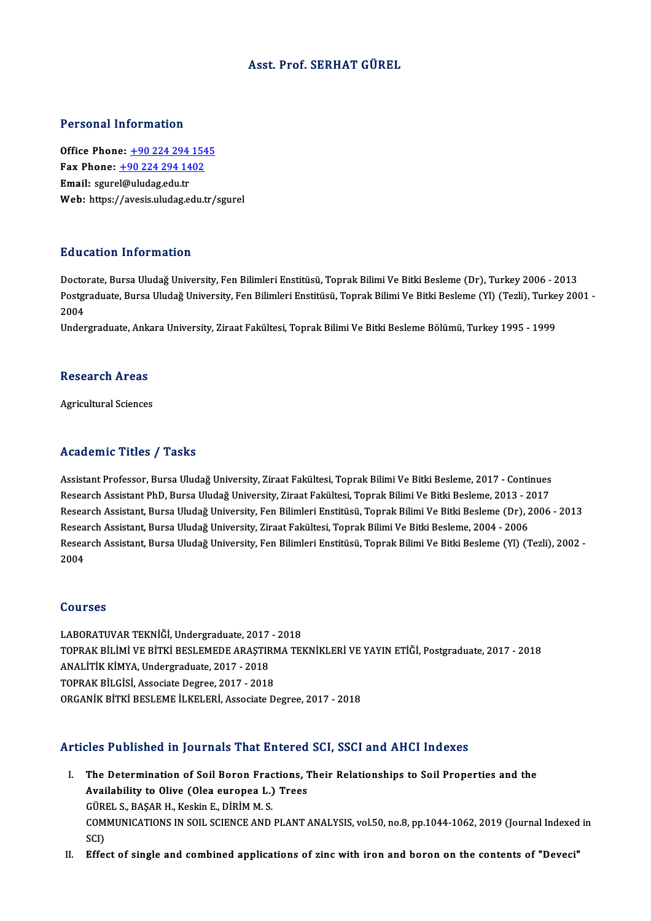## Asst. Prof. SERHAT GÜREL

### Personal Information

Office Phone: +90 224 294 1545 Fax Phone: <u>+90 224 294 154</u><br>Fax Phone: <u>+90 224 294 1402</u><br>Fmail: saurel@uludes.edu.tr Office Phone: <u>+90 224 294</u><br>Fax Phone: <u>+90 224 294 14</u><br>Email: sgure[l@uludag.edu.tr](tel:+90 224 294 1402) Email: sgurel@uludag.edu.tr<br>Web: https://avesis.uludag.edu.tr/sgurel

## Education Information

<mark>Education Information</mark><br>Doctorate, Bursa Uludağ University, Fen Bilimleri Enstitüsü, Toprak Bilimi Ve Bitki Besleme (Dr), Turkey 2006 - 2013<br>Bestanaduata Bursa Uludağ University, Fen Bilimleri Enstitüsü, Toprak Bilimi Ve B Bu u sutron Timon inutron<br>Doctorate, Bursa Uludağ University, Fen Bilimleri Enstitüsü, Toprak Bilimi Ve Bitki Besleme (Dr), Turkey 2006 - 2013<br>Postgraduate, Bursa Uludağ University, Fen Bilimleri Enstitüsü, Toprak Bilimi V Docto<br>Postgi<br>2004<br>Under Postgraduate, Bursa Uludağ University, Fen Bilimleri Enstitüsü, Toprak Bilimi Ve Bitki Besleme (Yl) (Tezli), Turke<br>2004<br>Undergraduate, Ankara University, Ziraat Fakültesi, Toprak Bilimi Ve Bitki Besleme Bölümü, Turkey 1995

Undergraduate, Ankara University, Ziraat Fakültesi, Toprak Bilimi Ve Bitki Besleme Bölümü, Turkey 1995 - 1999<br>Research Areas

Agricultural Sciences

### Academic Titles / Tasks

Assistant Professor, Bursa Uludağ University, Ziraat Fakültesi, Toprak Bilimi Ve Bitki Besleme, 2017 - Continues rseaa emre "resee", "rasne<br>Assistant Professor, Bursa Uludağ University, Ziraat Fakültesi, Toprak Bilimi Ve Bitki Besleme, 2017 - Continues<br>Research Assistant PhD, Bursa Uludağ University, Ziraat Fakültesi, Toprak Bilimi V Assistant Professor, Bursa Uludağ University, Ziraat Fakültesi, Toprak Bilimi Ve Bitki Besleme, 2017 - Continues<br>Research Assistant PhD, Bursa Uludağ University, Ziraat Fakültesi, Toprak Bilimi Ve Bitki Besleme, 2013 - 201 Research Assistant PhD, Bursa Uludağ University, Ziraat Fakültesi, Toprak Bilimi Ve Bitki Besleme, 2013 - 2<br>Research Assistant, Bursa Uludağ University, Fen Bilimleri Enstitüsü, Toprak Bilimi Ve Bitki Besleme (Dr), 2<br>Resea Research Assistant, Bursa Uludağ University, Fen Bilimleri Enstitüsü, Toprak Bilimi Ve Bitki Besleme (Dr), 2006 - 2013<br>Research Assistant, Bursa Uludağ University, Ziraat Fakültesi, Toprak Bilimi Ve Bitki Besleme, 2004 - 2 Resea<br>Resea<br>2004 2004<br>Courses

LABORATUVAR TEKNİĞİ, Undergraduate, 2017 - 2018 SOGTBES<br>LABORATUVAR TEKNİĞİ, Undergraduate, 2017 - 2018<br>TOPRAK BİLİMİ VE BİTKİ BESLEMEDE ARAŞTIRMA TEKNİKLERİ VE YAYIN ETİĞİ, Postgraduate, 2017 - 2018<br>ANALİTİK KİMYA, Undergraduata, 2017, -2019 LABORATUVAR TEKNİĞİ, Undergraduate, 2017<br>TOPRAK BİLİMİ VE BİTKİ BESLEMEDE ARAŞTIR<br>ANALİTİK KİMYA, Undergraduate, 2017 - 2018<br>TOPPAK BİLCİSİ, Assesiate Derree, 2017 - 2018 TOPRAK BİLİMİ VE BİTKİ BESLEMEDE ARAŞTIRN<br>ANALİTİK KİMYA, Undergraduate, 2017 - 2018<br>TOPRAK BİLGİSİ, Associate Degree, 2017 - 2018<br>OPCANİK BİTKİ BESLEME İLKELERİ, Associate D ANALİTİK KİMYA, Undergraduate, 2017 - 2018<br>TOPRAK BİLGİSİ, Associate Degree, 2017 - 2018<br>ORGANİK BİTKİ BESLEME İLKELERİ, Associate Degree, 2017 - 2018

### Articles Published in Journals That Entered SCI, SSCI and AHCI Indexes

- rticles Published in Journals That Entered SCI, SSCI and AHCI Indexes<br>I. The Determination of Soil Boron Fractions, Their Relationships to Soil Properties and the<br>Availability to Olive (Oleo europee L.) Trees The Determination of Soil Boron Fractions, 1<br>Availability to Olive (Olea europea L.) Trees<br>C<sup>lipet</sup> S. BASAR H. Keekin E. DiRiM M. S. The Determination of Soil Boron Frac<br>Availability to Olive (Olea europea L.)<br>GÜREL S., BAŞAR H., Keskin E., DİRİM M. S.<br>COMMUNICATIONS IN SOU, SCIENCE AND Availability to Olive (Olea europea L.) Trees<br>GÜREL S., BAŞAR H., Keskin E., DİRİM M. S.<br>COMMUNICATIONS IN SOIL SCIENCE AND PLANT ANALYSIS, vol.50, no.8, pp.1044-1062, 2019 (Journal Indexed in<br>SCI) GÜREL S., BASAR H., Keskin E., DİRİM M. S.
- II. Effect of single and combined applications of zinc with iron and boron on the contents of "Deveci"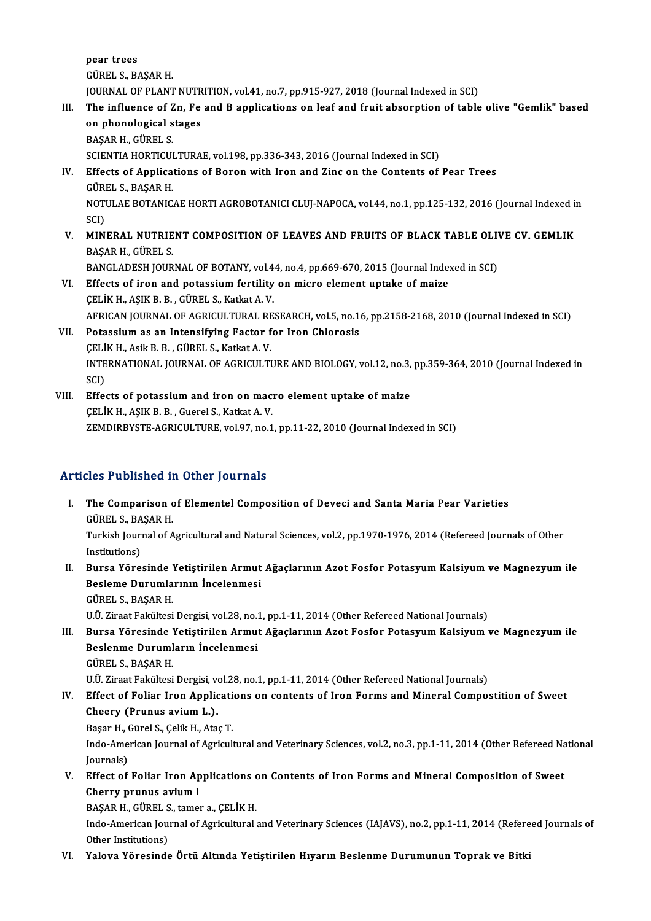pear trees GÜREL S.,BAŞARH. JOURNAL OF PLANT NUTRITION, vol.41, no.7, pp.915-927, 2018 (Journal Indexed in SCI)

GÜREL S., BAŞAR H.<br>JOURNAL OF PLANT NUTRITION, vol.41, no.7, pp.915-927, 2018 (Journal Indexed in SCI)<br>III. The influence of Zn, Fe and B applications on leaf and fruit absorption of table olive "Gemlik" based<br>on phanalagi **JOURNAL OF PLANT NUTR<br>The influence of Zn, Fe<br>on phonological stages<br>PASAP H. CÜPELS** on phonological stages<br>BAŞAR H., GÜREL S. on phonological stages<br>BAŞAR H., GÜREL S.<br>SCIENTIA HORTICULTURAE, vol.198, pp.336-343, 2016 (Journal Indexed in SCI)<br>Effects of Annlisations of Boron with Iron and Zins on the Contents of

IV. Effects of Applications of Boron with Iron and Zinc on the Contents of Pear Trees SCIENTIA HORTICUI<br>Effects of Applica<br>GÜREL S., BAŞAR H.<br>NOTULAE POTANIC Effects of Applications of Boron with Iron and Zinc on the Contents of Pear Trees<br>GÜREL S., BAŞAR H.<br>NOTULAE BOTANICAE HORTI AGROBOTANICI CLUJ-NAPOCA, vol.44, no.1, pp.125-132, 2016 (Journal Indexed in<br>SCD

GÜRI<br>NOTI<br>SCI)<br>MIN NOTULAE BOTANICAE HORTI AGROBOTANICI CLUJ-NAPOCA, vol.44, no.1, pp.125-132, 2016 (Journal Indexed in<br>SCI)<br>V. MINERAL NUTRIENT COMPOSITION OF LEAVES AND FRUITS OF BLACK TABLE OLIVE CV. GEMLIK<br>PASAR H. CÜREL S

SCI)<br>V. MINERAL NUTRIENT COMPOSITION OF LEAVES AND FRUITS OF BLACK TABLE OLIVE CV. GEMLIK<br>BAŞAR H., GÜREL S. MINERAL NUTRIENT COMPOSITION OF LEAVES AND FRUITS OF BLACK TABLE OLIV<br>BAŞAR H., GÜREL S.<br>BANGLADESH JOURNAL OF BOTANY, vol.44, no.4, pp.669-670, 2015 (Journal Indexed in SCI)<br>Effects of inon and notassium fortility on mism

BAŞAR H., GÜREL S.<br>BANGLADESH JOURNAL OF BOTANY, vol.44, no.4, pp.669-670, 2015 (Journal Index<br>VI. Effects of iron and potassium fertility on micro element uptake of maize<br>CELIV H. ASIV B. B., CÜREL S. Katkat A. V. BANGLADESH JOURNAL OF BOTANY, vol.4<br>Effects of iron and potassium fertility<br>CELİK H., AŞIK B. B. , GÜREL S., Katkat A. V.<br>AEBICAN JOURNAL OF ACRICULTURAL BE Effects of iron and potassium fertility on micro element uptake of maize<br>ÇELİK H., AŞIK B. B. , GÜREL S., Katkat A. V.<br>AFRICAN JOURNAL OF AGRICULTURAL RESEARCH, vol.5, no.16, pp.2158-2168, 2010 (Journal Indexed in SCI)<br>Pet CELIK H., AŞIK B. B., GÜREL S., Katkat A. V.<br>AFRICAN JOURNAL OF AGRICULTURAL RESEARCH, vol.5, no.1<br>VII. Potassium as an Intensifying Factor for Iron Chlorosis<br>CELIV H. Asik B. B., CÜREL S. Vatkat A. V.

- AFRICAN JOURNAL OF AGRICULTURAL RE<br>Potassium as an Intensifying Factor f<br>ÇELİK H., Asik B. B. , GÜREL S., Katkat A. V.<br>INTERNATIONAL JOURNAL OF ACRICULTI Potassium as an Intensifying Factor for Iron Chlorosis<br>ÇELİK H., Asik B. B. , GÜREL S., Katkat A. V.<br>INTERNATIONAL JOURNAL OF AGRICULTURE AND BIOLOGY, vol.12, no.3, pp.359-364, 2010 (Journal Indexed in<br>SCD CELI<br>INTE<br>SCI)<br>Effe INTERNATIONAL JOURNAL OF AGRICULTURE AND BIOLOGY, vol.12, no.3,<br>SCI)<br>VIII. Effects of potassium and iron on macro element uptake of maize<br>CELIV H. ASIV B. B. Cuarel S. Katkat A. V.
- SCI)<br>Effects of potassium and iron on mac:<br>ÇELİK H., AŞIK B. B. , Guerel S., Katkat A. V.<br>ZEMDIPPYSTE ACRICULTUPE vel 97. no 1 CELİK H., AŞIK B. B. , Guerel S., Katkat A. V.<br>ZEMDIRBYSTE-AGRICULTURE, vol.97, no.1, pp.11-22, 2010 (Journal Indexed in SCI)

## Articles Published in Other Journals

- I. The Comparison of Elementel Composition of Deveci and Santa Maria Pear Varieties The Comparison of the Comparison<br>GÜREL S., BAŞAR H.<br>Turkish Journal of A Turkish Journal of Agricultural and Natural Sciences, vol.2, pp.1970-1976, 2014 (Refereed Journals of Other Institutions) GÜREL S., BA<br>Turkish Jouri<br>Institutions)<br>Bunga Väna Turkish Journal of Agricultural and Natural Sciences, vol.2, pp.1970-1976, 2014 (Refereed Journals of Other<br>Institutions)<br>II. Bursa Yöresinde Yetiştirilen Armut Ağaçlarının Azot Fosfor Potasyum Kalsiyum ve Magnezyum ile<br>Pe
- Institutions)<br>Bursa Yöresinde Yetiştirilen Armut<br>Besleme Durumlarının İncelenmesi<br>CÜPELS BASAR H Bursa Yöresinde !<br>Besleme Durumla<br>GÜREL S.,BAŞAR H.<br>HÜ Zirast Fakültesi Besleme Durumlarının İncelenmesi<br>GÜREL S., BAŞAR H.<br>U.Ü. Ziraat Fakültesi Dergisi, vol.28, no.1, pp.1-11, 2014 (Other Refereed National Journals)<br>Burga Vöresinde Vetistirilen Armut Ağaslarının Azet Eesfer Petasuum Kalsiyum

GÜREL S., BAŞAR H.<br>U.Ü. Ziraat Fakültesi Dergisi, vol.28, no.1, pp.1-11, 2014 (Other Refereed National Journals)<br>III. Bursa Yöresinde Yetiştirilen Armut Ağaçlarının Azot Fosfor Potasyum Kalsiyum ve Magnezyum ile<br>Reslan U.Ü. Ziraat Fakültesi Dergisi, vol.28, no.1<br>Bursa Yöresinde Yetiştirilen Armut<br>Beslenme Durumların İncelenmesi<br>CÜPELS RASAR H Bursa Yöresinde !<br>Beslenme Duruml<br>GÜREL S., BAŞAR H.<br>HÜ Zirast Fakültesi Beslenme Durumların İncelenmesi<br>GÜREL S., BAŞAR H.<br>U.Ü. Ziraat Fakültesi Dergisi, vol.28, no.1, pp.1-11, 2014 (Other Refereed National Journals)

## GÜREL S., BAŞAR H.<br>U.Ü. Ziraat Fakültesi Dergisi, vol.28, no.1, pp.1-11, 2014 (Other Refereed National Journals)<br>IV. Effect of Foliar Iron Applications on contents of Iron Forms and Mineral Compostition of Sweet<br>Cheory U.Ü. Ziraat Fakültesi Dergisi, ve<br>Effect of Foliar Iron Applic<br>Cheery (Prunus avium L.).<br>Peser H. Gürel S. Gelik H. Ata Effect of Foliar Iron Applicati<br>Cheery (Prunus avium L.).<br>Başar H., Gürel S., Çelik H., Ataç T.<br>Inde American Iournal of Agricult

Cheery (Prunus avium L.).<br>Başar H., Gürel S., Çelik H., Ataç T.<br>Indo-American Journal of Agricultural and Veterinary Sciences, vol.2, no.3, pp.1-11, 2014 (Other Refereed National Başar H., (<br>Indo-Ame<br>Journals)<br>Effect of Indo-American Journal of Agricultural and Veterinary Sciences, vol.2, no.3, pp.1-11, 2014 (Other Refereed Na<br>Journals)<br>V. Effect of Foliar Iron Applications on Contents of Iron Forms and Mineral Composition of Sweet<br>Charus

Journals)<br>Effect of Foliar Iron Applications c<br>Cherry prunus avium l<br>BAŞAR H., GÜREL S., tamer a., CELİK H. V. Effect of Foliar Iron Applications on Contents of Iron Forms and Mineral Composition of Sweet

Cherry prunus avium 1<br>BAŞAR H., GÜREL S., tamer a., ÇELİK H.<br>Indo-American Journal of Agricultural and Veterinary Sciences (IAJAVS), no.2, pp.1-11, 2014 (Refereed Journals of BAŞAR H., GÜREL S<br>Indo-American Jou:<br>Other Institutions)<br>Valous Vänesinde Indo-American Journal of Agricultural and Veterinary Sciences (IAJAVS), no.2, pp.1-11, 2014 (Refere<br>Other Institutions)<br>VI. Yalova Yöresinde Örtü Altında Yetiştirilen Hıyarın Beslenme Durumunun Toprak ve Bitki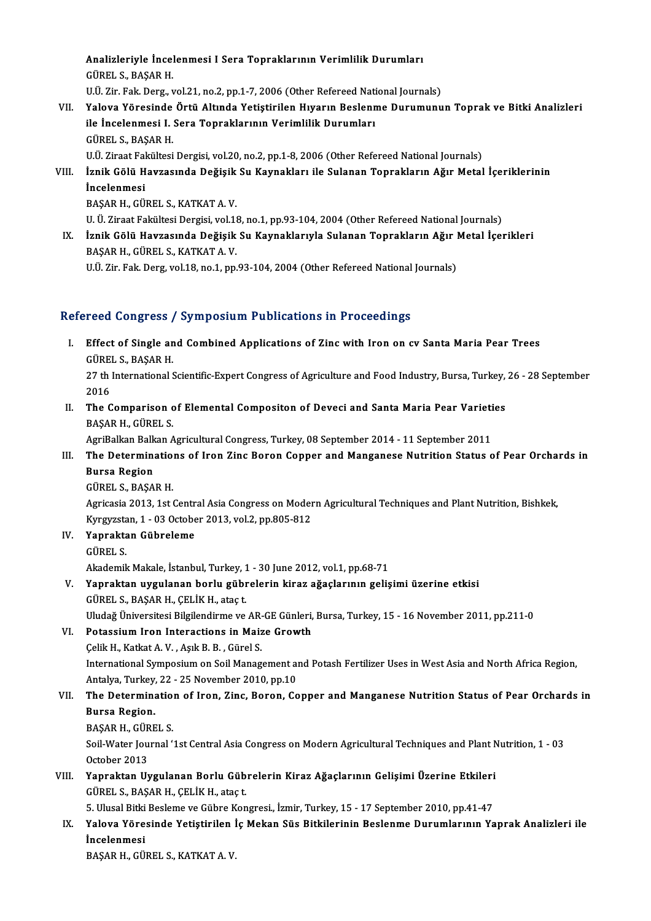Analizleriyle İncelenmesi I Sera Topraklarının Verimlilik Durumları **Analizleriyle İncel<br>GÜREL S., BAŞAR H.<br>UÜ Zir Fak Derg x** Analizleriyle İncelenmesi I Sera Topraklarının Verimlilik Durumları<br>GÜREL S., BAŞAR H.<br>U.Ü. Zir. Fak. Derg., vol.21, no.2, pp.1-7, 2006 (Other Refereed National Journals)<br>Yalova Vöresinde Örtü Altında Vetistinilen Huyanın

GÜREL S., BAŞAR H.<br>U.Ü. Zir. Fak. Derg., vol.21, no.2, pp.1-7, 2006 (Other Refereed National Journals)<br>VII. Yalova Yöresinde Örtü Altında Yetiştirilen Hıyarın Beslenme Durumunun Toprak ve Bitki Analizleri<br>ile İngelenme U.Ü. Zir. Fak. Derg., vol.21, no.2, pp.1-7, 2006 (Other Refereed Nati<br>Yalova Yöresinde Örtü Altında Yetiştirilen Hıyarın Beslenn<br>ile İncelenmesi I. Sera Topraklarının Verimlilik Durumları<br>CÜPELS, BASAR H Yalova Yöresinde<br>ile İncelenmesi I.<br>GÜREL S., BAŞAR H.<br>HÜ Zirast Fakültesi ile İncelenmesi I. Sera Topraklarının Verimlilik Durumları<br>GÜREL S., BAŞAR H.<br>U.Ü. Ziraat Fakültesi Dergisi, vol.20, no.2, pp.1-8, 2006 (Other Refereed National Journals)<br>İrnik Gölü Havrasında Değisik Su Kaynakları ile Sul GÜREL S., BAŞAR H.<br>U.Ü. Ziraat Fakültesi Dergisi, vol.20, no.2, pp.1-8, 2006 (Other Refereed National Journals)<br>VIII. İznik Gölü Havzasında Değişik Su Kaynakları ile Sulanan Toprakların Ağır Metal İçeriklerinin<br>İncelen

U.Ü. Ziraat Fal<br>İznik Gölü H<br>İncelenmesi<br>PASAP H-CÜ İznik Gölü Havzasında Değişik<br>İncelenmesi<br>BAŞAR H., GÜREL S., KATKAT A. V.<br>U. Ü. Ziraat Fakültasi Dergisi val 11 İncelenmesi<br>BAŞAR H., GÜREL S., KATKAT A. V.<br>U. Ü. Ziraat Fakültesi Dergisi, vol.18, no.1, pp.93-104, 2004 (Other Refereed National Journals)<br>İrnik Gölü Hayrasında Değisik Su Kaynaklanuyla Sulanan Tanrakların Ağır Metal İs

BAŞAR H., GÜREL S., KATKAT A. V.<br>U. Ü. Ziraat Fakültesi Dergisi, vol.18, no.1, pp.93-104, 2004 (Other Refereed National Journals)<br>IX. İznik Gölü Havzasında Değişik Su Kaynaklarıyla Sulanan Toprakların Ağır Metal İçerikleri U. Ü. Ziraat Fakültesi Dergisi, vol.11<br>İznik Gölü Havzasında Değişik<br>BAŞAR H., GÜREL S., KATKAT A. V.<br>HÜ Zir Fek Ders vel.19 no.1 nn IX. İznik Gölü Havzasında Değişik Su Kaynaklarıyla Sulanan Toprakların Ağır Metal İçerikleri<br>BAŞAR H., GÜREL S., KATKAT A. V.<br>U.Ü. Zir. Fak. Derg, vol.18, no.1, pp.93-104, 2004 (Other Refereed National Journals)

## Refereed Congress / Symposium Publications in Proceedings

efereed Congress / Symposium Publications in Proceedings<br>I. Effect of Single and Combined Applications of Zinc with Iron on cv Santa Maria Pear Trees<br>CÜPELS RASAR H Executions of the Second Second<br>GÜREL S., BAŞAR H.<br>27 th International S Effect of Single and Combined Applications of Zinc with Iron on cv Santa Maria Pear Trees<br>GÜREL S., BAŞAR H.<br>27 th International Scientific-Expert Congress of Agriculture and Food Industry, Bursa, Turkey, 26 - 28 September

6ÜRE<br>27 th<br>2016<br>The C 27 th International Scientific-Expert Congress of Agriculture and Food Industry, Bursa, Turkey,<br>2016<br>II. The Comparison of Elemental Compositon of Deveci and Santa Maria Pear Varieties<br>PASAR H. CÜRELS

2016<br>The Comparison c<br>BAŞAR H., GÜREL S.<br>AgriPallon Ballon A BAŞAR H., GÜREL S.<br>AgriBalkan Balkan Agricultural Congress, Turkey, 08 September 2014 - 11 September 2011

## BAŞAR H., GÜREL S.<br>AgriBalkan Balkan Agricultural Congress, Turkey, 08 September 2014 - 11 September 2011<br>III. The Determinations of Iron Zinc Boron Copper and Manganese Nutrition Status of Pear Orchards in<br>Burga Bogia AgriBalkan Balk<br><mark>The Determin</mark><br>Bursa Region<br>C<sup>üper S. PASA</sub></sup> The Determination<br>Bursa Region<br>GÜREL S., BAŞAR H.<br>Agricasia 2012 1st f

Bursa Region<br>GÜREL S., BAŞAR H.<br>Agricasia 2013, 1st Central Asia Congress on Modern Agricultural Techniques and Plant Nutrition, Bishkek, GÜREL S., BAŞAR H.<br>Agricasia 2013, 1st Central Asia Congress on Moder<br>Kyrgyzstan, 1 - 03 October 2013, vol.2, pp.805-812<br>Yonnaktan Gühnelame Kyrgyzsta<br>**Yaprakta**<br>GÜREL S.<br>Akademik

- IV. Yapraktan Gübreleme
	-

Akademik Makale, İstanbul, Turkey, 1 - 30 June 2012, vol.1, pp.68-71

GÜREL S.<br>Akademik Makale, İstanbul, Turkey, 1 - 30 June 2012, vol.1, pp.68-71<br>V. Yapraktan uygulanan borlu gübrelerin kiraz ağaçlarının gelişimi üzerine etkisi<br>Güpel S. BASAR H. GELİK H. stast Akademik Makale, İstanbul, Turkey, 1<br>Yapraktan uygulanan borlu gübr<br>GÜREL S., BAŞAR H., ÇELİK H., ataç t.<br>Uludağ Üniversitesi Bilgilandirme ve Yapraktan uygulanan borlu gübrelerin kiraz ağaçlarının gelişimi üzerine etkisi<br>GÜREL S., BAŞAR H., ÇELİK H., ataç t.<br>Uludağ Üniversitesi Bilgilendirme ve AR-GE Günleri, Bursa, Turkey, 15 - 16 November 2011, pp.211-0<br>Petass

GÜREL S., BAŞAR H., ÇELİK H., ataç t.<br>Uludağ Üniversitesi Bilgilendirme ve AR-GE Günleri,<br>VI. Potassium Iron Interactions in Maize Growth Uludağ Üniversitesi Bilgilendirme ve AR-<br>Potassium Iron Interactions in Maiz<br>Çelik H., Katkat A. V. , Aşık B. B. , Gürel S.<br>International Symnosium en Seil Manag Potassium Iron Interactions in Maize Growth<br>Çelik H., Katkat A. V. , Aşık B. B. , Gürel S.<br>International Symposium on Soil Management and Potash Fertilizer Uses in West Asia and North Africa Region,<br>Antalya Turkey, 22, 25 Celik H., Katkat A. V. , Aşık B. B. , Gürel S.<br>International Symposium on Soil Management al<br>Antalya, Turkey, 22 - 25 November 2010, pp.10<br>The Determination of Iron, Zins, Beren, Co

## International Symposium on Soil Management and Potash Fertilizer Uses in West Asia and North Africa Region,<br>Antalya, Turkey, 22 - 25 November 2010, pp.10<br>VII. The Determination of Iron, Zinc, Boron, Copper and Manganese Nu Antalya, Turkey,<br><mark>The Determin:</mark><br>Bursa Region.<br>PASAR H. CÜRE The Determinatio<br>Bursa Region.<br>BAŞAR H., GÜREL S.<br>Seil Weter Journal (

Bursa Region.<br>BAŞAR H., GÜREL S.<br>Soil-Water Journal '1st Central Asia Congress on Modern Agricultural Techniques and Plant Nutrition, 1 - 03<br>Osteber 2012 BAŞAR H., GÜR<br>Soil-Water Jou<br>October 2013<br>Yannaktan II. Soil-Water Journal '1st Central Asia Congress on Modern Agricultural Techniques and Plant N<br>October 2013<br>VIII. Yapraktan Uygulanan Borlu Gübrelerin Kiraz Ağaçlarının Gelişimi Üzerine Etkileri<br>CÜBELS PASAR H. CELİK H. stast

# October 2013<br>VIII. Yapraktan Uygulanan Borlu Gübrelerin Kiraz Ağaçlarının Gelişimi Üzerine Etkileri<br>GÜREL S., BAŞAR H., ÇELİK H., ataç t. Yapraktan Uygulanan Borlu Gübrelerin Kiraz Ağaçlarının Gelişimi Üzerine Etkileri<br>GÜREL S., BAŞAR H., ÇELİK H., ataç t.<br>5. Ulusal Bitki Besleme ve Gübre Kongresi., İzmir, Turkey, 15 - 17 September 2010, pp.41-47<br>Yalova Vöre

## GÜREL S., BAŞAR H., ÇELİK H., ataç t.<br>5. Ulusal Bitki Besleme ve Gübre Kongresi., İzmir, Turkey, 15 - 17 September 2010, pp.41-47<br>IX. Yalova Yöresinde Yetiştirilen İç Mekan Süs Bitkilerinin Beslenme Durumlarının Yaprak 5. Ulusal Bitki<br>Yalova Yöre:<br>İncelenmesi Yalova Yöresinde Yetiştirilen İ<br>İncelenmesi<br>BAŞAR H., GÜREL S., KATKAT A. V.